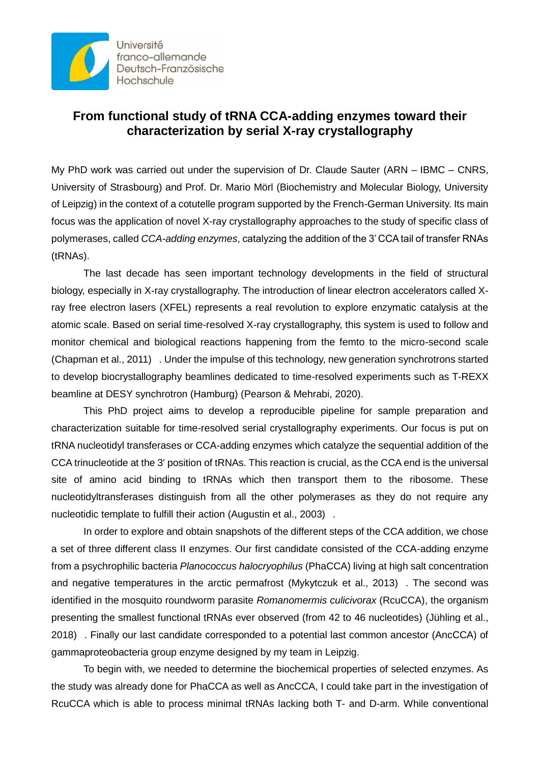

## **From functional study of tRNA CCA-adding enzymes toward their characterization by serial X-ray crystallography**

My PhD work was carried out under the supervision of Dr. Claude Sauter (ARN – IBMC – CNRS, University of Strasbourg) and Prof. Dr. Mario Mörl (Biochemistry and Molecular Biology, University of Leipzig) in the context of a cotutelle program supported by the French-German University. Its main focus was the application of novel X-ray crystallography approaches to the study of specific class of polymerases, called *CCA-adding enzymes*, catalyzing the addition of the 3' CCA tail of transfer RNAs (tRNAs).

The last decade has seen important technology developments in the field of structural biology, especially in X-ray crystallography. The introduction of linear electron accelerators called Xray free electron lasers (XFEL) represents a real revolution to explore enzymatic catalysis at the atomic scale. Based on serial time-resolved X-ray crystallography, this system is used to follow and monitor chemical and biological reactions happening from the femto to the micro-second scale (Chapman et al., 2011) . Under the impulse of this technology, new generation synchrotrons started to develop biocrystallography beamlines dedicated to time-resolved experiments such as T-REXX beamline at DESY synchrotron (Hamburg) (Pearson & Mehrabi, 2020).

This PhD project aims to develop a reproducible pipeline for sample preparation and characterization suitable for time-resolved serial crystallography experiments. Our focus is put on tRNA nucleotidyl transferases or CCA-adding enzymes which catalyze the sequential addition of the CCA trinucleotide at the 3' position of tRNAs. This reaction is crucial, as the CCA end is the universal site of amino acid binding to tRNAs which then transport them to the ribosome. These nucleotidyltransferases distinguish from all the other polymerases as they do not require any nucleotidic template to fulfill their action (Augustin et al., 2003) .

In order to explore and obtain snapshots of the different steps of the CCA addition, we chose a set of three different class II enzymes. Our first candidate consisted of the CCA-adding enzyme from a psychrophilic bacteria *Planococcus halocryophilus* (PhaCCA) living at high salt concentration and negative temperatures in the arctic permafrost (Mykytczuk et al., 2013) . The second was identified in the mosquito roundworm parasite *Romanomermis culicivorax* (RcuCCA), the organism presenting the smallest functional tRNAs ever observed (from 42 to 46 nucleotides) (Jühling et al., 2018) . Finally our last candidate corresponded to a potential last common ancestor (AncCCA) of gammaproteobacteria group enzyme designed by my team in Leipzig.

To begin with, we needed to determine the biochemical properties of selected enzymes. As the study was already done for PhaCCA as well as AncCCA, I could take part in the investigation of RcuCCA which is able to process minimal tRNAs lacking both T- and D-arm. While conventional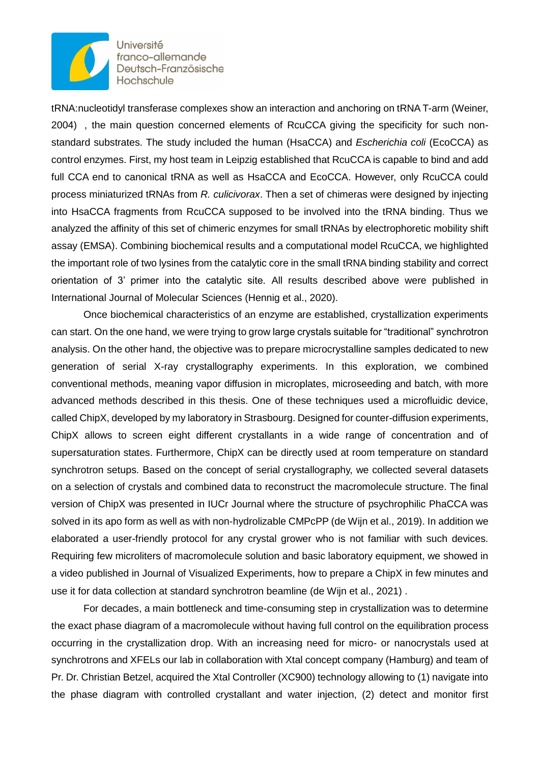

**Université** franco-allemande Deutsch-Französische Hochschule

tRNA:nucleotidyl transferase complexes show an interaction and anchoring on tRNA T-arm (Weiner, 2004) , the main question concerned elements of RcuCCA giving the specificity for such nonstandard substrates. The study included the human (HsaCCA) and *Escherichia coli* (EcoCCA) as control enzymes. First, my host team in Leipzig established that RcuCCA is capable to bind and add full CCA end to canonical tRNA as well as HsaCCA and EcoCCA. However, only RcuCCA could process miniaturized tRNAs from *R. culicivorax*. Then a set of chimeras were designed by injecting into HsaCCA fragments from RcuCCA supposed to be involved into the tRNA binding. Thus we analyzed the affinity of this set of chimeric enzymes for small tRNAs by electrophoretic mobility shift assay (EMSA). Combining biochemical results and a computational model RcuCCA, we highlighted the important role of two lysines from the catalytic core in the small tRNA binding stability and correct orientation of 3' primer into the catalytic site. All results described above were published in International Journal of Molecular Sciences (Hennig et al., 2020).

Once biochemical characteristics of an enzyme are established, crystallization experiments can start. On the one hand, we were trying to grow large crystals suitable for "traditional" synchrotron analysis. On the other hand, the objective was to prepare microcrystalline samples dedicated to new generation of serial X-ray crystallography experiments. In this exploration, we combined conventional methods, meaning vapor diffusion in microplates, microseeding and batch, with more advanced methods described in this thesis. One of these techniques used a microfluidic device, called ChipX, developed by my laboratory in Strasbourg. Designed for counter-diffusion experiments, ChipX allows to screen eight different crystallants in a wide range of concentration and of supersaturation states. Furthermore, ChipX can be directly used at room temperature on standard synchrotron setups. Based on the concept of serial crystallography, we collected several datasets on a selection of crystals and combined data to reconstruct the macromolecule structure. The final version of ChipX was presented in IUCr Journal where the structure of psychrophilic PhaCCA was solved in its apo form as well as with non-hydrolizable CMPcPP (de Wijn et al., 2019). In addition we elaborated a user-friendly protocol for any crystal grower who is not familiar with such devices. Requiring few microliters of macromolecule solution and basic laboratory equipment, we showed in a video published in Journal of Visualized Experiments, how to prepare a ChipX in few minutes and use it for data collection at standard synchrotron beamline (de Wijn et al., 2021) .

For decades, a main bottleneck and time-consuming step in crystallization was to determine the exact phase diagram of a macromolecule without having full control on the equilibration process occurring in the crystallization drop. With an increasing need for micro- or nanocrystals used at synchrotrons and XFELs our lab in collaboration with Xtal concept company (Hamburg) and team of Pr. Dr. Christian Betzel, acquired the Xtal Controller (XC900) technology allowing to (1) navigate into the phase diagram with controlled crystallant and water injection, (2) detect and monitor first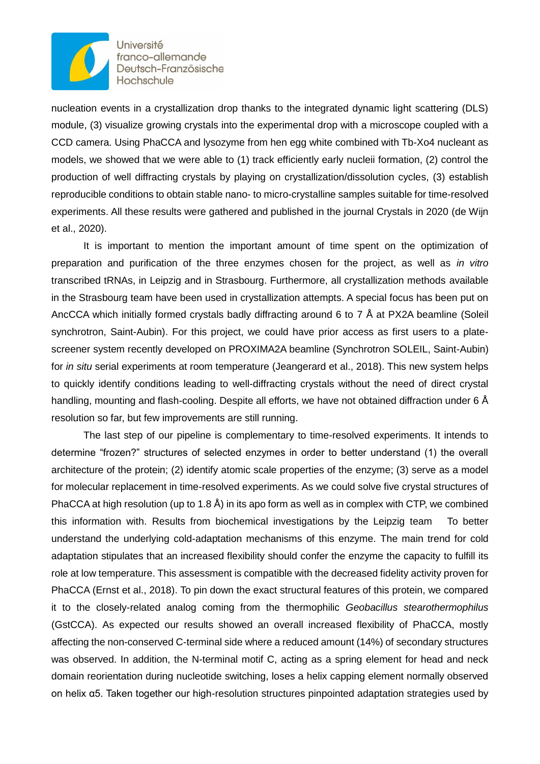

**Université** franco-allemande Deutsch-Französische Hochschule

nucleation events in a crystallization drop thanks to the integrated dynamic light scattering (DLS) module, (3) visualize growing crystals into the experimental drop with a microscope coupled with a CCD camera. Using PhaCCA and lysozyme from hen egg white combined with Tb-Xo4 nucleant as models, we showed that we were able to (1) track efficiently early nucleii formation, (2) control the production of well diffracting crystals by playing on crystallization/dissolution cycles, (3) establish reproducible conditions to obtain stable nano- to micro-crystalline samples suitable for time-resolved experiments. All these results were gathered and published in the journal Crystals in 2020 (de Wijn et al., 2020).

It is important to mention the important amount of time spent on the optimization of preparation and purification of the three enzymes chosen for the project, as well as *in vitro* transcribed tRNAs, in Leipzig and in Strasbourg. Furthermore, all crystallization methods available in the Strasbourg team have been used in crystallization attempts. A special focus has been put on AncCCA which initially formed crystals badly diffracting around 6 to 7 Å at PX2A beamline (Soleil synchrotron, Saint-Aubin). For this project, we could have prior access as first users to a platescreener system recently developed on PROXIMA2A beamline (Synchrotron SOLEIL, Saint-Aubin) for *in situ* serial experiments at room temperature (Jeangerard et al., 2018). This new system helps to quickly identify conditions leading to well-diffracting crystals without the need of direct crystal handling, mounting and flash-cooling. Despite all efforts, we have not obtained diffraction under 6 Å resolution so far, but few improvements are still running.

The last step of our pipeline is complementary to time-resolved experiments. It intends to determine "frozen?" structures of selected enzymes in order to better understand (1) the overall architecture of the protein; (2) identify atomic scale properties of the enzyme; (3) serve as a model for molecular replacement in time-resolved experiments. As we could solve five crystal structures of PhaCCA at high resolution (up to 1.8 Å) in its apo form as well as in complex with CTP, we combined this information with. Results from biochemical investigations by the Leipzig team To better understand the underlying cold-adaptation mechanisms of this enzyme. The main trend for cold adaptation stipulates that an increased flexibility should confer the enzyme the capacity to fulfill its role at low temperature. This assessment is compatible with the decreased fidelity activity proven for PhaCCA (Ernst et al., 2018). To pin down the exact structural features of this protein, we compared it to the closely-related analog coming from the thermophilic *Geobacillus stearothermophilus* (GstCCA). As expected our results showed an overall increased flexibility of PhaCCA, mostly affecting the non-conserved C-terminal side where a reduced amount (14%) of secondary structures was observed. In addition, the N-terminal motif C, acting as a spring element for head and neck domain reorientation during nucleotide switching, loses a helix capping element normally observed on helix α5. Taken together our high-resolution structures pinpointed adaptation strategies used by